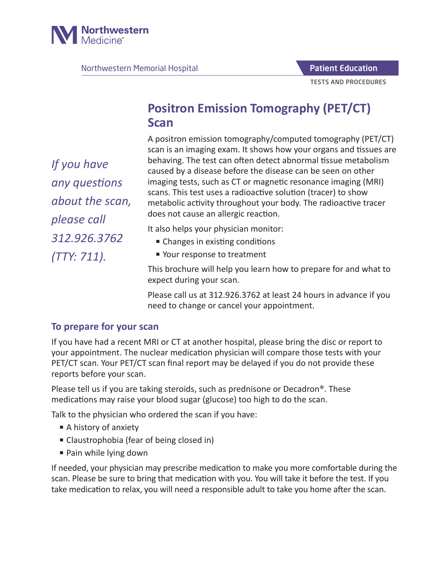

Northwestern Memorial Hospital

Patient Education

TESTS AND PROCEDURES

# **Positron Emission Tomography (PET/CT) Scan**

A positron emission tomography/computed tomography (PET/CT) scan is an imaging exam. It shows how your organs and tissues are behaving. The test can often detect abnormal tissue metabolism caused by a disease before the disease can be seen on other imaging tests, such as CT or magnetic resonance imaging (MRI) scans. This test uses a radioactive solution (tracer) to show metabolic activity throughout your body. The radioactive tracer does not cause an allergic reaction.

It also helps your physician monitor:

- Changes in existing conditions
- Your response to treatment

This brochure will help you learn how to prepare for and what to expect during your scan.

Please call us at 312.926.3762 at least 24 hours in advance if you need to change or cancel your appointment.

#### **To prepare for your scan**

If you have had a recent MRI or CT at another hospital, please bring the disc or report to your appointment. The nuclear medication physician will compare those tests with your PET/CT scan. Your PET/CT scan final report may be delayed if you do not provide these reports before your scan.

Please tell us if you are taking steroids, such as prednisone or Decadron®. These medications may raise your blood sugar (glucose) too high to do the scan.

Talk to the physician who ordered the scan if you have:

- A history of anxiety
- Claustrophobia (fear of being closed in)
- Pain while lying down

If needed, your physician may prescribe medication to make you more comfortable during the scan. Please be sure to bring that medication with you. You will take it before the test. If you take medication to relax, you will need a responsible adult to take you home after the scan.

*If you have any questions about the scan, please call 312.926.3762 (TTY: 711).*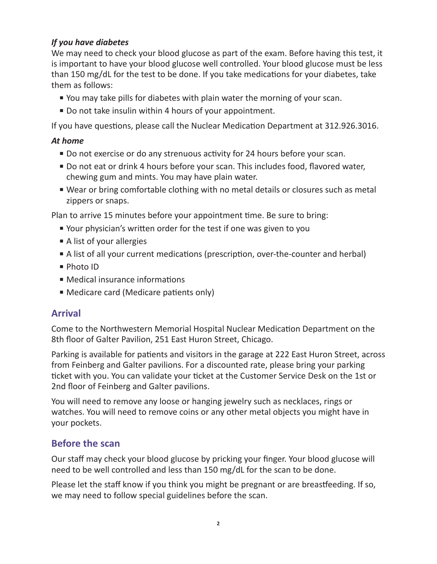#### *If you have diabetes*

We may need to check your blood glucose as part of the exam. Before having this test, it is important to have your blood glucose well controlled. Your blood glucose must be less than 150 mg/dL for the test to be done. If you take medications for your diabetes, take them as follows:

- You may take pills for diabetes with plain water the morning of your scan.
- Do not take insulin within 4 hours of your appointment.

If you have questions, please call the Nuclear Medication Department at 312.926.3016.

#### *At home*

- Do not exercise or do any strenuous activity for 24 hours before your scan.
- Do not eat or drink 4 hours before your scan. This includes food, flavored water, chewing gum and mints. You may have plain water.
- Wear or bring comfortable clothing with no metal details or closures such as metal zippers or snaps.

Plan to arrive 15 minutes before your appointment time. Be sure to bring:

- Your physician's written order for the test if one was given to you
- A list of your allergies
- A list of all your current medications (prescription, over-the-counter and herbal)
- Photo ID
- Medical insurance informations
- Medicare card (Medicare patients only)

## **Arrival**

Come to the Northwestern Memorial Hospital Nuclear Medication Department on the 8th floor of Galter Pavilion, 251 East Huron Street, Chicago.

Parking is available for patients and visitors in the garage at 222 East Huron Street, across from Feinberg and Galter pavilions. For a discounted rate, please bring your parking ticket with you. You can validate your ticket at the Customer Service Desk on the 1st or 2nd floor of Feinberg and Galter pavilions.

You will need to remove any loose or hanging jewelry such as necklaces, rings or watches. You will need to remove coins or any other metal objects you might have in your pockets.

# **Before the scan**

Our staff may check your blood glucose by pricking your finger. Your blood glucose will need to be well controlled and less than 150 mg/dL for the scan to be done.

Please let the staff know if you think you might be pregnant or are breastfeeding. If so, we may need to follow special guidelines before the scan.